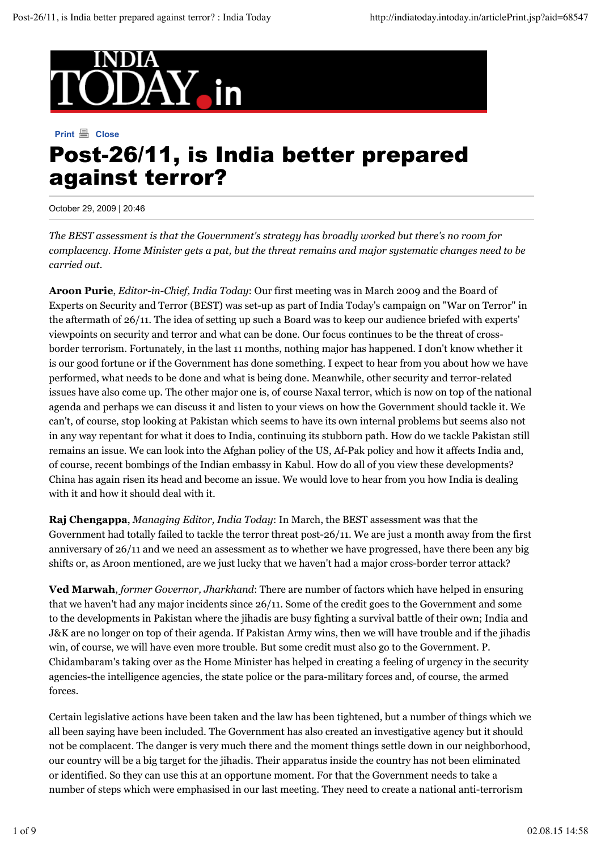

## **Print A** Close Post-26/11, is India better prepared against terror?

October 29, 2009 | 20:46

*The BEST assessment is that the Government's strategy has broadly worked but there's no room for complacency. Home Minister gets a pat, but the threat remains and major systematic changes need to be carried out.*

**Aroon Purie**, *Editor-in-Chief, India Today*: Our first meeting was in March 2009 and the Board of Experts on Security and Terror (BEST) was set-up as part of India Today's campaign on "War on Terror" in the aftermath of 26/11. The idea of setting up such a Board was to keep our audience briefed with experts' viewpoints on security and terror and what can be done. Our focus continues to be the threat of crossborder terrorism. Fortunately, in the last 11 months, nothing major has happened. I don't know whether it is our good fortune or if the Government has done something. I expect to hear from you about how we have performed, what needs to be done and what is being done. Meanwhile, other security and terror-related issues have also come up. The other major one is, of course Naxal terror, which is now on top of the national agenda and perhaps we can discuss it and listen to your views on how the Government should tackle it. We can't, of course, stop looking at Pakistan which seems to have its own internal problems but seems also not in any way repentant for what it does to India, continuing its stubborn path. How do we tackle Pakistan still remains an issue. We can look into the Afghan policy of the US, Af-Pak policy and how it affects India and, of course, recent bombings of the Indian embassy in Kabul. How do all of you view these developments? China has again risen its head and become an issue. We would love to hear from you how India is dealing with it and how it should deal with it.

**Raj Chengappa**, *Managing Editor, India Today*: In March, the BEST assessment was that the Government had totally failed to tackle the terror threat post-26/11. We are just a month away from the first anniversary of 26/11 and we need an assessment as to whether we have progressed, have there been any big shifts or, as Aroon mentioned, are we just lucky that we haven't had a major cross-border terror attack?

**Ved Marwah**, *former Governor, Jharkhand*: There are number of factors which have helped in ensuring that we haven't had any major incidents since 26/11. Some of the credit goes to the Government and some to the developments in Pakistan where the jihadis are busy fighting a survival battle of their own; India and J&K are no longer on top of their agenda. If Pakistan Army wins, then we will have trouble and if the jihadis win, of course, we will have even more trouble. But some credit must also go to the Government. P. Chidambaram's taking over as the Home Minister has helped in creating a feeling of urgency in the security agencies-the intelligence agencies, the state police or the para-military forces and, of course, the armed forces.

Certain legislative actions have been taken and the law has been tightened, but a number of things which we all been saying have been included. The Government has also created an investigative agency but it should not be complacent. The danger is very much there and the moment things settle down in our neighborhood, our country will be a big target for the jihadis. Their apparatus inside the country has not been eliminated or identified. So they can use this at an opportune moment. For that the Government needs to take a number of steps which were emphasised in our last meeting. They need to create a national anti-terrorism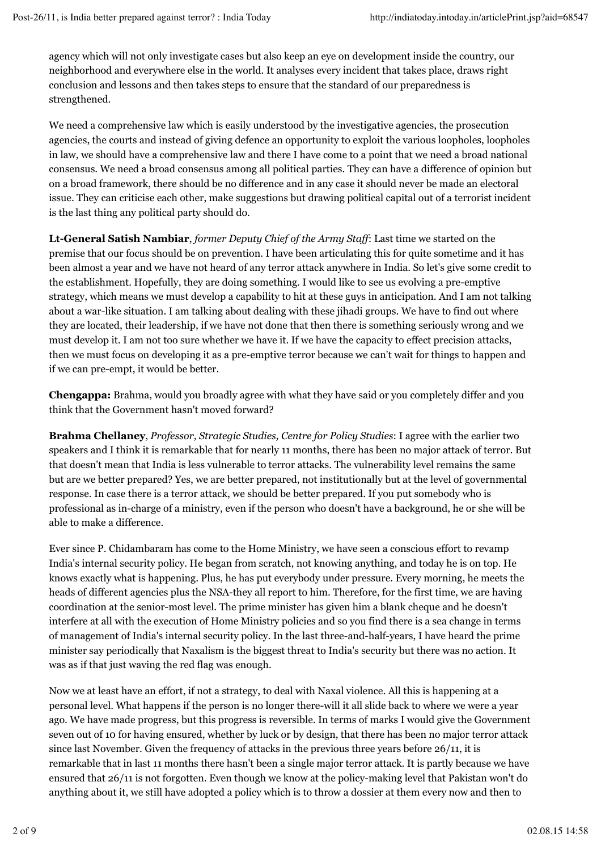agency which will not only investigate cases but also keep an eye on development inside the country, our neighborhood and everywhere else in the world. It analyses every incident that takes place, draws right conclusion and lessons and then takes steps to ensure that the standard of our preparedness is strengthened.

We need a comprehensive law which is easily understood by the investigative agencies, the prosecution agencies, the courts and instead of giving defence an opportunity to exploit the various loopholes, loopholes in law, we should have a comprehensive law and there I have come to a point that we need a broad national consensus. We need a broad consensus among all political parties. They can have a difference of opinion but on a broad framework, there should be no difference and in any case it should never be made an electoral issue. They can criticise each other, make suggestions but drawing political capital out of a terrorist incident is the last thing any political party should do.

**Lt-General Satish Nambiar**, *former Deputy Chief of the Army Staff*: Last time we started on the premise that our focus should be on prevention. I have been articulating this for quite sometime and it has been almost a year and we have not heard of any terror attack anywhere in India. So let's give some credit to the establishment. Hopefully, they are doing something. I would like to see us evolving a pre-emptive strategy, which means we must develop a capability to hit at these guys in anticipation. And I am not talking about a war-like situation. I am talking about dealing with these jihadi groups. We have to find out where they are located, their leadership, if we have not done that then there is something seriously wrong and we must develop it. I am not too sure whether we have it. If we have the capacity to effect precision attacks, then we must focus on developing it as a pre-emptive terror because we can't wait for things to happen and if we can pre-empt, it would be better.

**Chengappa:** Brahma, would you broadly agree with what they have said or you completely differ and you think that the Government hasn't moved forward?

**Brahma Chellaney**, *Professor, Strategic Studies, Centre for Policy Studies*: I agree with the earlier two speakers and I think it is remarkable that for nearly 11 months, there has been no major attack of terror. But that doesn't mean that India is less vulnerable to terror attacks. The vulnerability level remains the same but are we better prepared? Yes, we are better prepared, not institutionally but at the level of governmental response. In case there is a terror attack, we should be better prepared. If you put somebody who is professional as in-charge of a ministry, even if the person who doesn't have a background, he or she will be able to make a difference.

Ever since P. Chidambaram has come to the Home Ministry, we have seen a conscious effort to revamp India's internal security policy. He began from scratch, not knowing anything, and today he is on top. He knows exactly what is happening. Plus, he has put everybody under pressure. Every morning, he meets the heads of different agencies plus the NSA-they all report to him. Therefore, for the first time, we are having coordination at the senior-most level. The prime minister has given him a blank cheque and he doesn't interfere at all with the execution of Home Ministry policies and so you find there is a sea change in terms of management of India's internal security policy. In the last three-and-half-years, I have heard the prime minister say periodically that Naxalism is the biggest threat to India's security but there was no action. It was as if that just waving the red flag was enough.

Now we at least have an effort, if not a strategy, to deal with Naxal violence. All this is happening at a personal level. What happens if the person is no longer there-will it all slide back to where we were a year ago. We have made progress, but this progress is reversible. In terms of marks I would give the Government seven out of 10 for having ensured, whether by luck or by design, that there has been no major terror attack since last November. Given the frequency of attacks in the previous three years before 26/11, it is remarkable that in last 11 months there hasn't been a single major terror attack. It is partly because we have ensured that 26/11 is not forgotten. Even though we know at the policy-making level that Pakistan won't do anything about it, we still have adopted a policy which is to throw a dossier at them every now and then to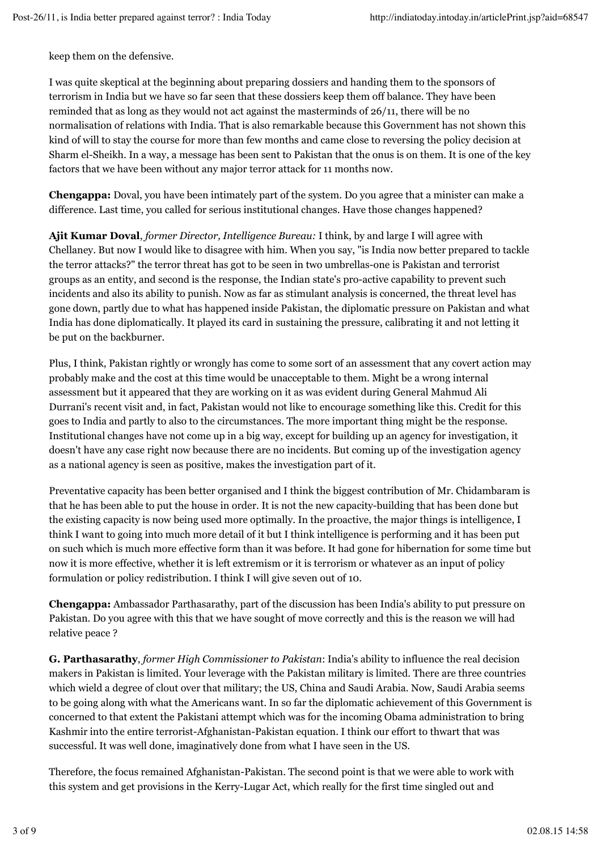keep them on the defensive.

I was quite skeptical at the beginning about preparing dossiers and handing them to the sponsors of terrorism in India but we have so far seen that these dossiers keep them off balance. They have been reminded that as long as they would not act against the masterminds of 26/11, there will be no normalisation of relations with India. That is also remarkable because this Government has not shown this kind of will to stay the course for more than few months and came close to reversing the policy decision at Sharm el-Sheikh. In a way, a message has been sent to Pakistan that the onus is on them. It is one of the key factors that we have been without any major terror attack for 11 months now.

**Chengappa:** Doval, you have been intimately part of the system. Do you agree that a minister can make a difference. Last time, you called for serious institutional changes. Have those changes happened?

**Ajit Kumar Doval**, *former Director, Intelligence Bureau:* I think, by and large I will agree with Chellaney. But now I would like to disagree with him. When you say, "is India now better prepared to tackle the terror attacks?" the terror threat has got to be seen in two umbrellas-one is Pakistan and terrorist groups as an entity, and second is the response, the Indian state's pro-active capability to prevent such incidents and also its ability to punish. Now as far as stimulant analysis is concerned, the threat level has gone down, partly due to what has happened inside Pakistan, the diplomatic pressure on Pakistan and what India has done diplomatically. It played its card in sustaining the pressure, calibrating it and not letting it be put on the backburner.

Plus, I think, Pakistan rightly or wrongly has come to some sort of an assessment that any covert action may probably make and the cost at this time would be unacceptable to them. Might be a wrong internal assessment but it appeared that they are working on it as was evident during General Mahmud Ali Durrani's recent visit and, in fact, Pakistan would not like to encourage something like this. Credit for this goes to India and partly to also to the circumstances. The more important thing might be the response. Institutional changes have not come up in a big way, except for building up an agency for investigation, it doesn't have any case right now because there are no incidents. But coming up of the investigation agency as a national agency is seen as positive, makes the investigation part of it.

Preventative capacity has been better organised and I think the biggest contribution of Mr. Chidambaram is that he has been able to put the house in order. It is not the new capacity-building that has been done but the existing capacity is now being used more optimally. In the proactive, the major things is intelligence, I think I want to going into much more detail of it but I think intelligence is performing and it has been put on such which is much more effective form than it was before. It had gone for hibernation for some time but now it is more effective, whether it is left extremism or it is terrorism or whatever as an input of policy formulation or policy redistribution. I think I will give seven out of 10.

**Chengappa:** Ambassador Parthasarathy, part of the discussion has been India's ability to put pressure on Pakistan. Do you agree with this that we have sought of move correctly and this is the reason we will had relative peace ?

**G. Parthasarathy**, *former High Commissioner to Pakistan*: India's ability to influence the real decision makers in Pakistan is limited. Your leverage with the Pakistan military is limited. There are three countries which wield a degree of clout over that military; the US, China and Saudi Arabia. Now, Saudi Arabia seems to be going along with what the Americans want. In so far the diplomatic achievement of this Government is concerned to that extent the Pakistani attempt which was for the incoming Obama administration to bring Kashmir into the entire terrorist-Afghanistan-Pakistan equation. I think our effort to thwart that was successful. It was well done, imaginatively done from what I have seen in the US.

Therefore, the focus remained Afghanistan-Pakistan. The second point is that we were able to work with this system and get provisions in the Kerry-Lugar Act, which really for the first time singled out and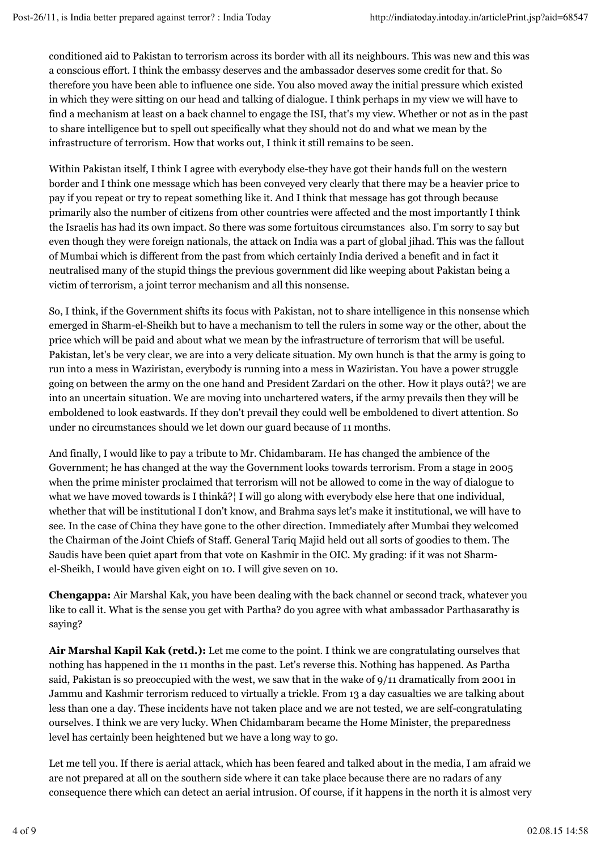conditioned aid to Pakistan to terrorism across its border with all its neighbours. This was new and this was a conscious effort. I think the embassy deserves and the ambassador deserves some credit for that. So therefore you have been able to influence one side. You also moved away the initial pressure which existed in which they were sitting on our head and talking of dialogue. I think perhaps in my view we will have to find a mechanism at least on a back channel to engage the ISI, that's my view. Whether or not as in the past to share intelligence but to spell out specifically what they should not do and what we mean by the infrastructure of terrorism. How that works out, I think it still remains to be seen.

Within Pakistan itself, I think I agree with everybody else-they have got their hands full on the western border and I think one message which has been conveyed very clearly that there may be a heavier price to pay if you repeat or try to repeat something like it. And I think that message has got through because primarily also the number of citizens from other countries were affected and the most importantly I think the Israelis has had its own impact. So there was some fortuitous circumstances also. I'm sorry to say but even though they were foreign nationals, the attack on India was a part of global jihad. This was the fallout of Mumbai which is different from the past from which certainly India derived a benefit and in fact it neutralised many of the stupid things the previous government did like weeping about Pakistan being a victim of terrorism, a joint terror mechanism and all this nonsense.

So, I think, if the Government shifts its focus with Pakistan, not to share intelligence in this nonsense which emerged in Sharm-el-Sheikh but to have a mechanism to tell the rulers in some way or the other, about the price which will be paid and about what we mean by the infrastructure of terrorism that will be useful. Pakistan, let's be very clear, we are into a very delicate situation. My own hunch is that the army is going to run into a mess in Waziristan, everybody is running into a mess in Waziristan. You have a power struggle going on between the army on the one hand and President Zardari on the other. How it plays outâ?¦ we are into an uncertain situation. We are moving into unchartered waters, if the army prevails then they will be emboldened to look eastwards. If they don't prevail they could well be emboldened to divert attention. So under no circumstances should we let down our guard because of 11 months.

And finally, I would like to pay a tribute to Mr. Chidambaram. He has changed the ambience of the Government; he has changed at the way the Government looks towards terrorism. From a stage in 2005 when the prime minister proclaimed that terrorism will not be allowed to come in the way of dialogue to what we have moved towards is I thinkâ?<sup>{</sup> I will go along with everybody else here that one individual, whether that will be institutional I don't know, and Brahma says let's make it institutional, we will have to see. In the case of China they have gone to the other direction. Immediately after Mumbai they welcomed the Chairman of the Joint Chiefs of Staff. General Tariq Majid held out all sorts of goodies to them. The Saudis have been quiet apart from that vote on Kashmir in the OIC. My grading: if it was not Sharmel-Sheikh, I would have given eight on 10. I will give seven on 10.

**Chengappa:** Air Marshal Kak, you have been dealing with the back channel or second track, whatever you like to call it. What is the sense you get with Partha? do you agree with what ambassador Parthasarathy is saying?

**Air Marshal Kapil Kak (retd.):** Let me come to the point. I think we are congratulating ourselves that nothing has happened in the 11 months in the past. Let's reverse this. Nothing has happened. As Partha said, Pakistan is so preoccupied with the west, we saw that in the wake of 9/11 dramatically from 2001 in Jammu and Kashmir terrorism reduced to virtually a trickle. From 13 a day casualties we are talking about less than one a day. These incidents have not taken place and we are not tested, we are self-congratulating ourselves. I think we are very lucky. When Chidambaram became the Home Minister, the preparedness level has certainly been heightened but we have a long way to go.

Let me tell you. If there is aerial attack, which has been feared and talked about in the media, I am afraid we are not prepared at all on the southern side where it can take place because there are no radars of any consequence there which can detect an aerial intrusion. Of course, if it happens in the north it is almost very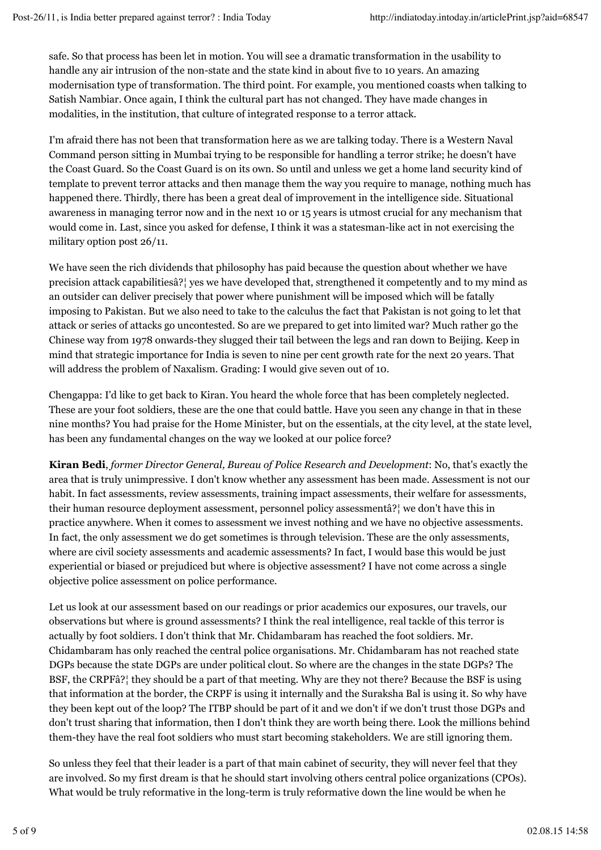safe. So that process has been let in motion. You will see a dramatic transformation in the usability to handle any air intrusion of the non-state and the state kind in about five to 10 years. An amazing modernisation type of transformation. The third point. For example, you mentioned coasts when talking to Satish Nambiar. Once again, I think the cultural part has not changed. They have made changes in modalities, in the institution, that culture of integrated response to a terror attack.

I'm afraid there has not been that transformation here as we are talking today. There is a Western Naval Command person sitting in Mumbai trying to be responsible for handling a terror strike; he doesn't have the Coast Guard. So the Coast Guard is on its own. So until and unless we get a home land security kind of template to prevent terror attacks and then manage them the way you require to manage, nothing much has happened there. Thirdly, there has been a great deal of improvement in the intelligence side. Situational awareness in managing terror now and in the next 10 or 15 years is utmost crucial for any mechanism that would come in. Last, since you asked for defense, I think it was a statesman-like act in not exercising the military option post 26/11.

We have seen the rich dividends that philosophy has paid because the question about whether we have precision attack capabilitiesâ?¦ yes we have developed that, strengthened it competently and to my mind as an outsider can deliver precisely that power where punishment will be imposed which will be fatally imposing to Pakistan. But we also need to take to the calculus the fact that Pakistan is not going to let that attack or series of attacks go uncontested. So are we prepared to get into limited war? Much rather go the Chinese way from 1978 onwards-they slugged their tail between the legs and ran down to Beijing. Keep in mind that strategic importance for India is seven to nine per cent growth rate for the next 20 years. That will address the problem of Naxalism. Grading: I would give seven out of 10.

Chengappa: I'd like to get back to Kiran. You heard the whole force that has been completely neglected. These are your foot soldiers, these are the one that could battle. Have you seen any change in that in these nine months? You had praise for the Home Minister, but on the essentials, at the city level, at the state level, has been any fundamental changes on the way we looked at our police force?

**Kiran Bedi**, *former Director General, Bureau of Police Research and Development*: No, that's exactly the area that is truly unimpressive. I don't know whether any assessment has been made. Assessment is not our habit. In fact assessments, review assessments, training impact assessments, their welfare for assessments, their human resource deployment assessment, personnel policy assessmentâ?¦ we don't have this in practice anywhere. When it comes to assessment we invest nothing and we have no objective assessments. In fact, the only assessment we do get sometimes is through television. These are the only assessments, where are civil society assessments and academic assessments? In fact, I would base this would be just experiential or biased or prejudiced but where is objective assessment? I have not come across a single objective police assessment on police performance.

Let us look at our assessment based on our readings or prior academics our exposures, our travels, our observations but where is ground assessments? I think the real intelligence, real tackle of this terror is actually by foot soldiers. I don't think that Mr. Chidambaram has reached the foot soldiers. Mr. Chidambaram has only reached the central police organisations. Mr. Chidambaram has not reached state DGPs because the state DGPs are under political clout. So where are the changes in the state DGPs? The BSF, the CRPFâ?¦ they should be a part of that meeting. Why are they not there? Because the BSF is using that information at the border, the CRPF is using it internally and the Suraksha Bal is using it. So why have they been kept out of the loop? The ITBP should be part of it and we don't if we don't trust those DGPs and don't trust sharing that information, then I don't think they are worth being there. Look the millions behind them-they have the real foot soldiers who must start becoming stakeholders. We are still ignoring them.

So unless they feel that their leader is a part of that main cabinet of security, they will never feel that they are involved. So my first dream is that he should start involving others central police organizations (CPOs). What would be truly reformative in the long-term is truly reformative down the line would be when he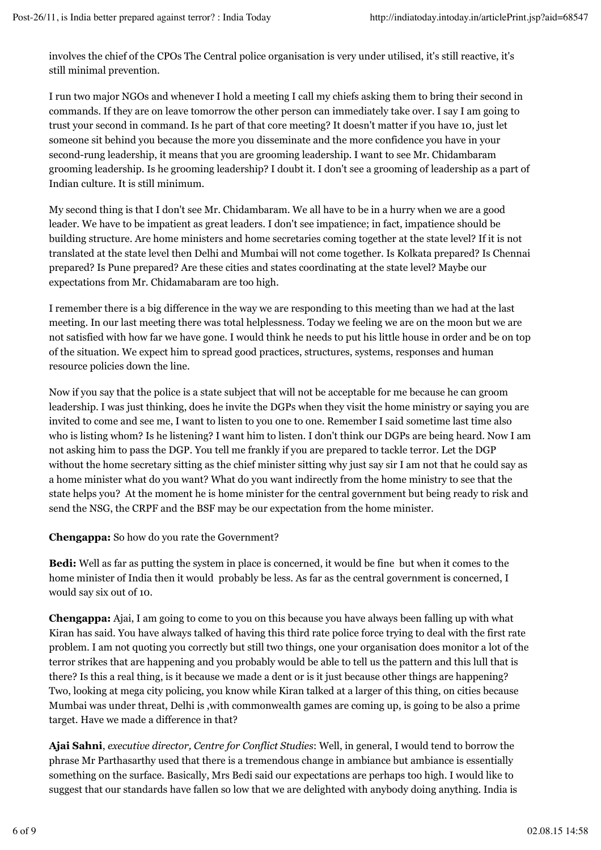involves the chief of the CPOs The Central police organisation is very under utilised, it's still reactive, it's still minimal prevention.

I run two major NGOs and whenever I hold a meeting I call my chiefs asking them to bring their second in commands. If they are on leave tomorrow the other person can immediately take over. I say I am going to trust your second in command. Is he part of that core meeting? It doesn't matter if you have 10, just let someone sit behind you because the more you disseminate and the more confidence you have in your second-rung leadership, it means that you are grooming leadership. I want to see Mr. Chidambaram grooming leadership. Is he grooming leadership? I doubt it. I don't see a grooming of leadership as a part of Indian culture. It is still minimum.

My second thing is that I don't see Mr. Chidambaram. We all have to be in a hurry when we are a good leader. We have to be impatient as great leaders. I don't see impatience; in fact, impatience should be building structure. Are home ministers and home secretaries coming together at the state level? If it is not translated at the state level then Delhi and Mumbai will not come together. Is Kolkata prepared? Is Chennai prepared? Is Pune prepared? Are these cities and states coordinating at the state level? Maybe our expectations from Mr. Chidamabaram are too high.

I remember there is a big difference in the way we are responding to this meeting than we had at the last meeting. In our last meeting there was total helplessness. Today we feeling we are on the moon but we are not satisfied with how far we have gone. I would think he needs to put his little house in order and be on top of the situation. We expect him to spread good practices, structures, systems, responses and human resource policies down the line.

Now if you say that the police is a state subject that will not be acceptable for me because he can groom leadership. I was just thinking, does he invite the DGPs when they visit the home ministry or saying you are invited to come and see me, I want to listen to you one to one. Remember I said sometime last time also who is listing whom? Is he listening? I want him to listen. I don't think our DGPs are being heard. Now I am not asking him to pass the DGP. You tell me frankly if you are prepared to tackle terror. Let the DGP without the home secretary sitting as the chief minister sitting why just say sir I am not that he could say as a home minister what do you want? What do you want indirectly from the home ministry to see that the state helps you? At the moment he is home minister for the central government but being ready to risk and send the NSG, the CRPF and the BSF may be our expectation from the home minister.

## **Chengappa:** So how do you rate the Government?

**Bedi:** Well as far as putting the system in place is concerned, it would be fine but when it comes to the home minister of India then it would probably be less. As far as the central government is concerned, I would say six out of 10.

**Chengappa:** Ajai, I am going to come to you on this because you have always been falling up with what Kiran has said. You have always talked of having this third rate police force trying to deal with the first rate problem. I am not quoting you correctly but still two things, one your organisation does monitor a lot of the terror strikes that are happening and you probably would be able to tell us the pattern and this lull that is there? Is this a real thing, is it because we made a dent or is it just because other things are happening? Two, looking at mega city policing, you know while Kiran talked at a larger of this thing, on cities because Mumbai was under threat, Delhi is ,with commonwealth games are coming up, is going to be also a prime target. Have we made a difference in that?

**Ajai Sahni**, *executive director, Centre for Conflict Studies*: Well, in general, I would tend to borrow the phrase Mr Parthasarthy used that there is a tremendous change in ambiance but ambiance is essentially something on the surface. Basically, Mrs Bedi said our expectations are perhaps too high. I would like to suggest that our standards have fallen so low that we are delighted with anybody doing anything. India is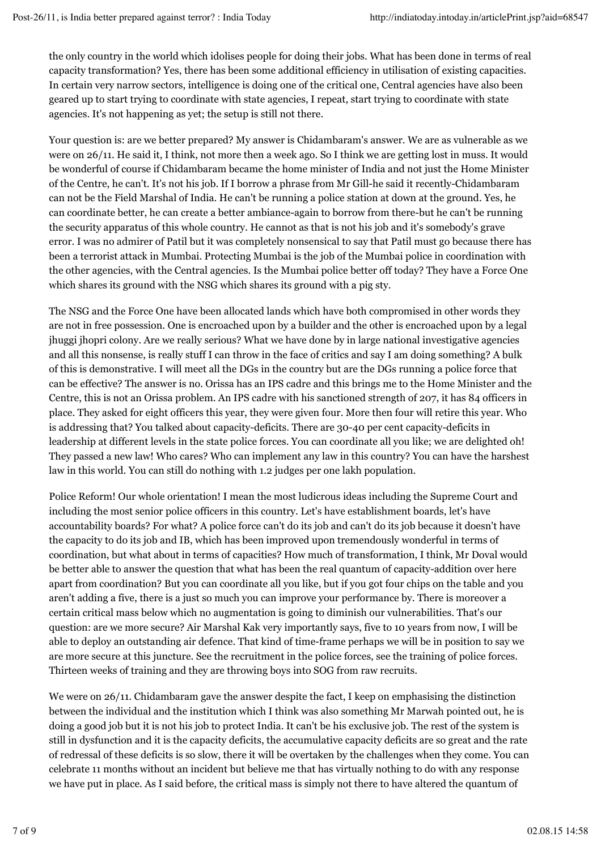the only country in the world which idolises people for doing their jobs. What has been done in terms of real capacity transformation? Yes, there has been some additional efficiency in utilisation of existing capacities. In certain very narrow sectors, intelligence is doing one of the critical one, Central agencies have also been geared up to start trying to coordinate with state agencies, I repeat, start trying to coordinate with state agencies. It's not happening as yet; the setup is still not there.

Your question is: are we better prepared? My answer is Chidambaram's answer. We are as vulnerable as we were on 26/11. He said it, I think, not more then a week ago. So I think we are getting lost in muss. It would be wonderful of course if Chidambaram became the home minister of India and not just the Home Minister of the Centre, he can't. It's not his job. If I borrow a phrase from Mr Gill-he said it recently-Chidambaram can not be the Field Marshal of India. He can't be running a police station at down at the ground. Yes, he can coordinate better, he can create a better ambiance-again to borrow from there-but he can't be running the security apparatus of this whole country. He cannot as that is not his job and it's somebody's grave error. I was no admirer of Patil but it was completely nonsensical to say that Patil must go because there has been a terrorist attack in Mumbai. Protecting Mumbai is the job of the Mumbai police in coordination with the other agencies, with the Central agencies. Is the Mumbai police better off today? They have a Force One which shares its ground with the NSG which shares its ground with a pig sty.

The NSG and the Force One have been allocated lands which have both compromised in other words they are not in free possession. One is encroached upon by a builder and the other is encroached upon by a legal jhuggi jhopri colony. Are we really serious? What we have done by in large national investigative agencies and all this nonsense, is really stuff I can throw in the face of critics and say I am doing something? A bulk of this is demonstrative. I will meet all the DGs in the country but are the DGs running a police force that can be effective? The answer is no. Orissa has an IPS cadre and this brings me to the Home Minister and the Centre, this is not an Orissa problem. An IPS cadre with his sanctioned strength of 207, it has 84 officers in place. They asked for eight officers this year, they were given four. More then four will retire this year. Who is addressing that? You talked about capacity-deficits. There are 30-40 per cent capacity-deficits in leadership at different levels in the state police forces. You can coordinate all you like; we are delighted oh! They passed a new law! Who cares? Who can implement any law in this country? You can have the harshest law in this world. You can still do nothing with 1.2 judges per one lakh population.

Police Reform! Our whole orientation! I mean the most ludicrous ideas including the Supreme Court and including the most senior police officers in this country. Let's have establishment boards, let's have accountability boards? For what? A police force can't do its job and can't do its job because it doesn't have the capacity to do its job and IB, which has been improved upon tremendously wonderful in terms of coordination, but what about in terms of capacities? How much of transformation, I think, Mr Doval would be better able to answer the question that what has been the real quantum of capacity-addition over here apart from coordination? But you can coordinate all you like, but if you got four chips on the table and you aren't adding a five, there is a just so much you can improve your performance by. There is moreover a certain critical mass below which no augmentation is going to diminish our vulnerabilities. That's our question: are we more secure? Air Marshal Kak very importantly says, five to 10 years from now, I will be able to deploy an outstanding air defence. That kind of time-frame perhaps we will be in position to say we are more secure at this juncture. See the recruitment in the police forces, see the training of police forces. Thirteen weeks of training and they are throwing boys into SOG from raw recruits.

We were on 26/11. Chidambaram gave the answer despite the fact, I keep on emphasising the distinction between the individual and the institution which I think was also something Mr Marwah pointed out, he is doing a good job but it is not his job to protect India. It can't be his exclusive job. The rest of the system is still in dysfunction and it is the capacity deficits, the accumulative capacity deficits are so great and the rate of redressal of these deficits is so slow, there it will be overtaken by the challenges when they come. You can celebrate 11 months without an incident but believe me that has virtually nothing to do with any response we have put in place. As I said before, the critical mass is simply not there to have altered the quantum of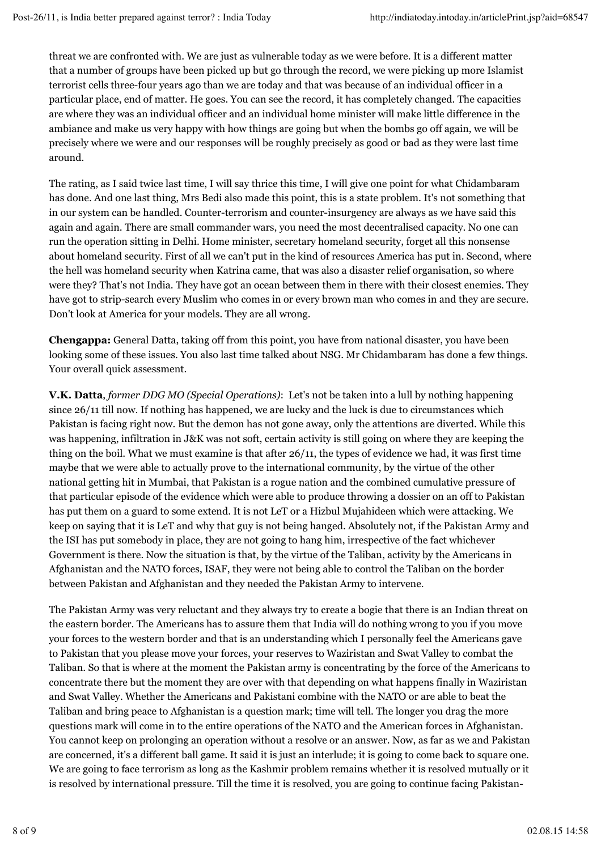threat we are confronted with. We are just as vulnerable today as we were before. It is a different matter that a number of groups have been picked up but go through the record, we were picking up more Islamist terrorist cells three-four years ago than we are today and that was because of an individual officer in a particular place, end of matter. He goes. You can see the record, it has completely changed. The capacities are where they was an individual officer and an individual home minister will make little difference in the ambiance and make us very happy with how things are going but when the bombs go off again, we will be precisely where we were and our responses will be roughly precisely as good or bad as they were last time around.

The rating, as I said twice last time, I will say thrice this time, I will give one point for what Chidambaram has done. And one last thing, Mrs Bedi also made this point, this is a state problem. It's not something that in our system can be handled. Counter-terrorism and counter-insurgency are always as we have said this again and again. There are small commander wars, you need the most decentralised capacity. No one can run the operation sitting in Delhi. Home minister, secretary homeland security, forget all this nonsense about homeland security. First of all we can't put in the kind of resources America has put in. Second, where the hell was homeland security when Katrina came, that was also a disaster relief organisation, so where were they? That's not India. They have got an ocean between them in there with their closest enemies. They have got to strip-search every Muslim who comes in or every brown man who comes in and they are secure. Don't look at America for your models. They are all wrong.

**Chengappa:** General Datta, taking off from this point, you have from national disaster, you have been looking some of these issues. You also last time talked about NSG. Mr Chidambaram has done a few things. Your overall quick assessment.

**V.K. Datta**, *former DDG MO (Special Operations)*: Let's not be taken into a lull by nothing happening since 26/11 till now. If nothing has happened, we are lucky and the luck is due to circumstances which Pakistan is facing right now. But the demon has not gone away, only the attentions are diverted. While this was happening, infiltration in J&K was not soft, certain activity is still going on where they are keeping the thing on the boil. What we must examine is that after 26/11, the types of evidence we had, it was first time maybe that we were able to actually prove to the international community, by the virtue of the other national getting hit in Mumbai, that Pakistan is a rogue nation and the combined cumulative pressure of that particular episode of the evidence which were able to produce throwing a dossier on an off to Pakistan has put them on a guard to some extend. It is not LeT or a Hizbul Mujahideen which were attacking. We keep on saying that it is LeT and why that guy is not being hanged. Absolutely not, if the Pakistan Army and the ISI has put somebody in place, they are not going to hang him, irrespective of the fact whichever Government is there. Now the situation is that, by the virtue of the Taliban, activity by the Americans in Afghanistan and the NATO forces, ISAF, they were not being able to control the Taliban on the border between Pakistan and Afghanistan and they needed the Pakistan Army to intervene.

The Pakistan Army was very reluctant and they always try to create a bogie that there is an Indian threat on the eastern border. The Americans has to assure them that India will do nothing wrong to you if you move your forces to the western border and that is an understanding which I personally feel the Americans gave to Pakistan that you please move your forces, your reserves to Waziristan and Swat Valley to combat the Taliban. So that is where at the moment the Pakistan army is concentrating by the force of the Americans to concentrate there but the moment they are over with that depending on what happens finally in Waziristan and Swat Valley. Whether the Americans and Pakistani combine with the NATO or are able to beat the Taliban and bring peace to Afghanistan is a question mark; time will tell. The longer you drag the more questions mark will come in to the entire operations of the NATO and the American forces in Afghanistan. You cannot keep on prolonging an operation without a resolve or an answer. Now, as far as we and Pakistan are concerned, it's a different ball game. It said it is just an interlude; it is going to come back to square one. We are going to face terrorism as long as the Kashmir problem remains whether it is resolved mutually or it is resolved by international pressure. Till the time it is resolved, you are going to continue facing Pakistan